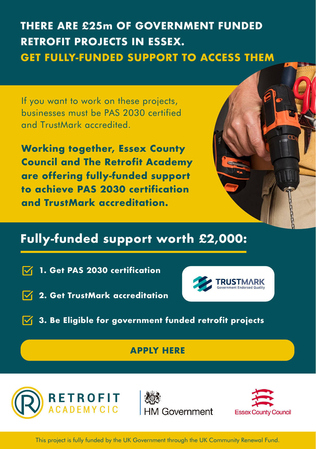# **THERE ARE £25m OF GOVERNMENT FUNDED RETROFIT PROJECTS IN ESSEX. GET FULLY-FUNDED SUPPORT TO ACCESS THEM**

If you want to work on these projects, businesses must be PAS 2030 certified and TrustMark accredited.

**Working together, Essex County Council and The Retrofit Academy are offering fully-funded support to achieve PAS 2030 certification and TrustMark accreditation.**

### **Fully-funded support worth £2,000:**

 $\nabla$ **1. Get PAS 2030 certification**

- **2. Get TrustMark accreditation**
- $\sqrt{ }$  3. Be Eligible for government funded retrofit projects

#### **[APPLY HERE](https://f3pptrug9qp.typeform.com/to/iLcJJA9u?typeform-source=www.google.com)**







This project is fully funded by the UK Government through the UK Community Renewal Fund.